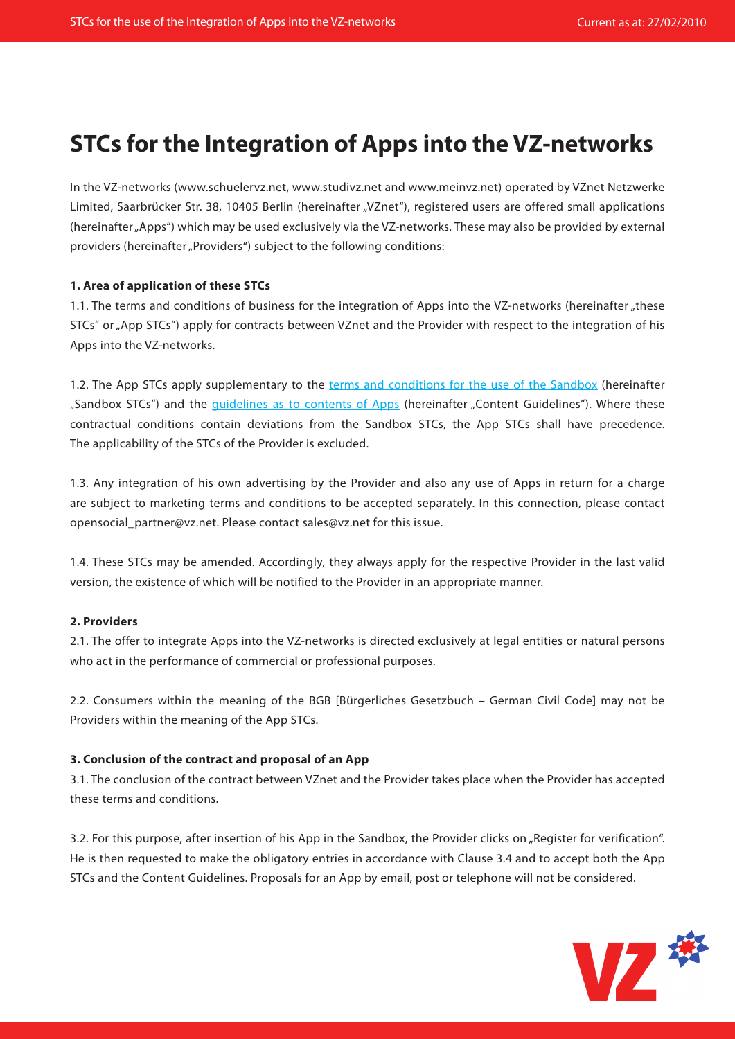# **STCs for the Integration of Apps into the VZ-networks**

In the VZ-networks (www.schuelervz.net, www.studivz.net and www.meinvz.net) operated by VZnet Netzwerke Limited, Saarbrücker Str. 38, 10405 Berlin (hereinafter "VZnet"), registered users are offered small applications (hereinafter "Apps") which may be used exclusively via the VZ-networks. These may also be provided by external providers (hereinafter "Providers") subject to the following conditions:

# **1. Area of application of these STCs**

1.1. The terms and conditions of business for the integration of Apps into the VZ-networks (hereinafter "these STCs" or "App STCs") apply for contracts between VZnet and the Provider with respect to the integration of his Apps into the VZ-networks.

1.2. The App STCs apply supplementary to the [terms and conditions for the use of the Sandbox](http://developer.studivz.net/wiki/images/3/3a/Sandbox_TC_en.pdf) (hereinafter "Sandbox STCs") and the quidelines as to contents of Apps (hereinafter "Content Guidelines"). Where these contractual conditions contain deviations from the Sandbox STCs, the App STCs shall have precedence. The applicability of the STCs of the Provider is excluded.

1.3. Any integration of his own advertising by the Provider and also any use of Apps in return for a charge are subject to marketing terms and conditions to be accepted separately. In this connection, please contact opensocial\_partner@vz.net. Please contact sales@vz.net for this issue.

1.4. These STCs may be amended. Accordingly, they always apply for the respective Provider in the last valid version, the existence of which will be notified to the Provider in an appropriate manner.

## **2. Providers**

2.1. The offer to integrate Apps into the VZ-networks is directed exclusively at legal entities or natural persons who act in the performance of commercial or professional purposes.

2.2. Consumers within the meaning of the BGB [Bürgerliches Gesetzbuch – German Civil Code] may not be Providers within the meaning of the App STCs.

## **3. Conclusion of the contract and proposal of an App**

3.1. The conclusion of the contract between VZnet and the Provider takes place when the Provider has accepted these terms and conditions.

3.2. For this purpose, after insertion of his App in the Sandbox, the Provider clicks on "Register for verification". He is then requested to make the obligatory entries in accordance with Clause 3.4 and to accept both the App STCs and the Content Guidelines. Proposals for an App by email, post or telephone will not be considered.

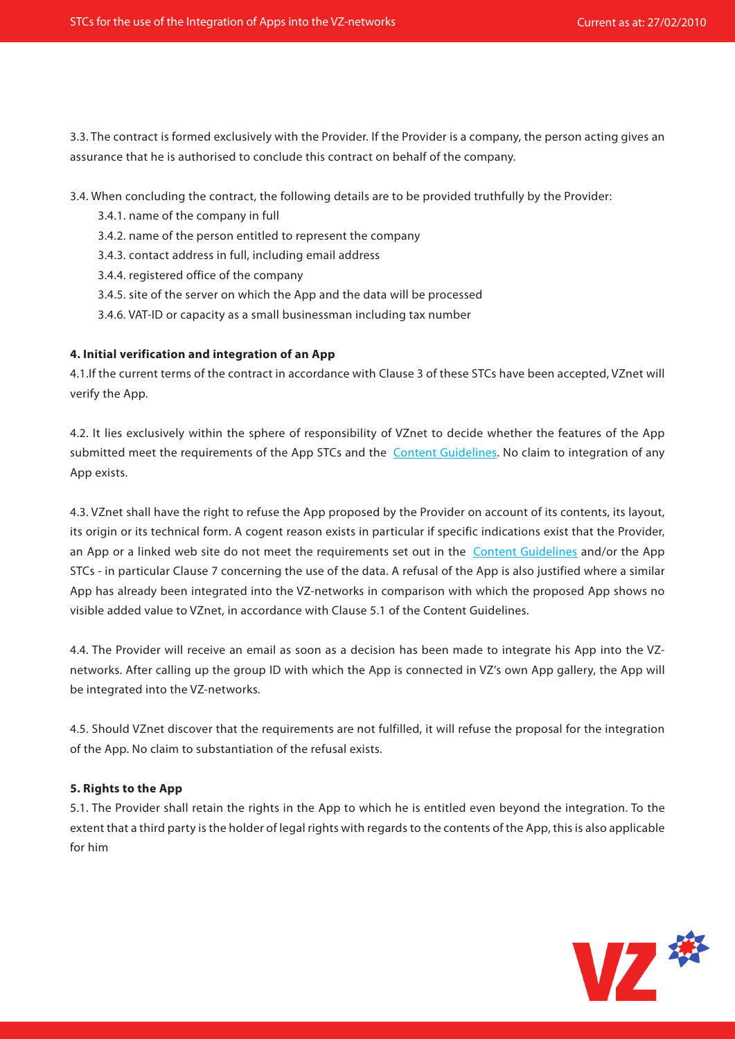3.3. The contract is formed exclusively with the Provider. If the Provider is a company, the person acting gives an assurance that he is authorised to conclude this contract on behalf of the company.

3.4. When concluding the contract, the following details are to be provided truthfully by the Provider:

- 3.4.1. name of the company in full
- 3.4.2. name of the person entitled to represent the company
- 3.4.3. contact address in full, including email address
- 3.4.4. registered office of the company
- 3.4.5. site of the server on which the App and the data will be processed
- 3.4.6. VAT-ID or capacity as a small businessman including tax number

## **4. Initial verification and integration of an App**

4.1.If the current terms of the contract in accordance with Clause 3 of these STCs have been accepted, VZnet will verify the App.

4.2. It lies exclusively within the sphere of responsibility of VZnet to decide whether the features of the App submitted meet the requirements of the App STCs and the [Content Guidelines.](http://developer.studivz.net/wiki/images/c/c7/Contenguidelines_en.pdf) No claim to integration of any App exists.

4.3. VZnet shall have the right to refuse the App proposed by the Provider on account of its contents, its layout, its origin or its technical form. A cogent reason exists in particular if specific indications exist that the Provider, an App or a linked web site do not meet the requirements set out in the [Content Guidelines](http://developer.studivz.net/wiki/images/c/c7/Contenguidelines_en.pdf) and/or the App STCs - in particular Clause 7 concerning the use of the data. A refusal of the App is also justified where a similar App has already been integrated into the VZ-networks in comparison with which the proposed App shows no visible added value to VZnet, in accordance with Clause 5.1 of the Content Guidelines.

4.4. The Provider will receive an email as soon as a decision has been made to integrate his App into the VZnetworks. After calling up the group ID with which the App is connected in VZ's own App gallery, the App will be integrated into the VZ-networks.

4.5. Should VZnet discover that the requirements are not fulfilled, it will refuse the proposal for the integration of the App. No claim to substantiation of the refusal exists.

# **5. Rights to the App**

5.1. The Provider shall retain the rights in the App to which he is entitled even beyond the integration. To the extent that a third party is the holder of legal rights with regards to the contents of the App, this is also applicable for him

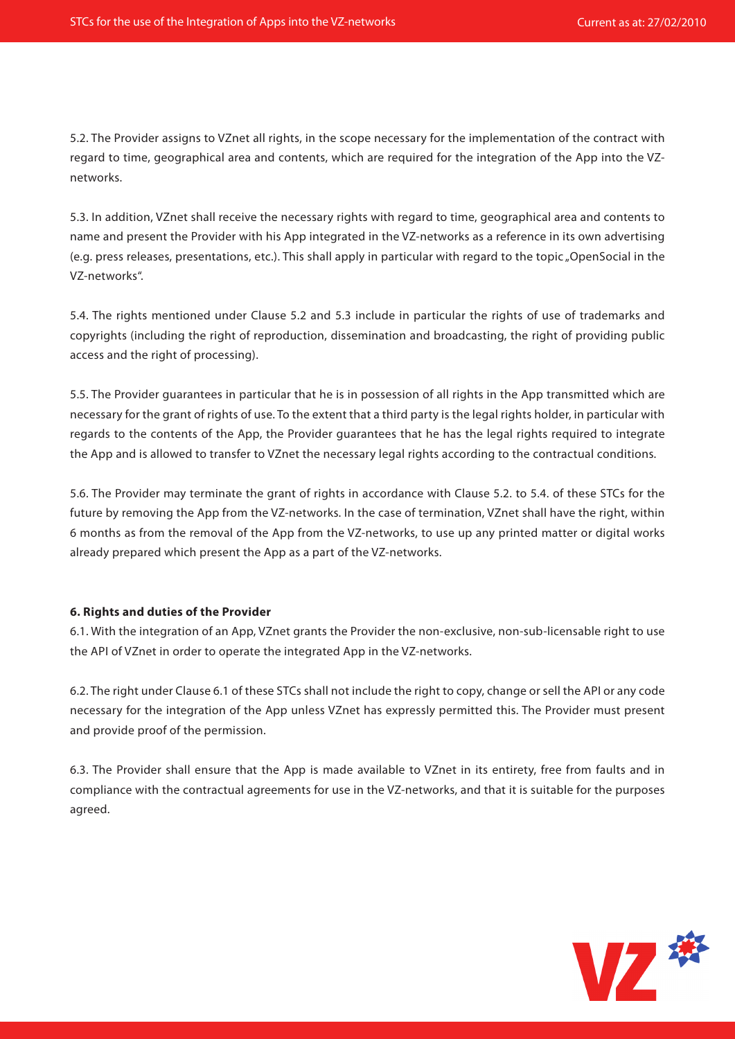5.2. The Provider assigns to VZnet all rights, in the scope necessary for the implementation of the contract with regard to time, geographical area and contents, which are required for the integration of the App into the VZnetworks.

5.3. In addition, VZnet shall receive the necessary rights with regard to time, geographical area and contents to name and present the Provider with his App integrated in the VZ-networks as a reference in its own advertising (e.g. press releases, presentations, etc.). This shall apply in particular with regard to the topic "OpenSocial in the VZ-networks".

5.4. The rights mentioned under Clause 5.2 and 5.3 include in particular the rights of use of trademarks and copyrights (including the right of reproduction, dissemination and broadcasting, the right of providing public access and the right of processing).

5.5. The Provider guarantees in particular that he is in possession of all rights in the App transmitted which are necessary for the grant of rights of use. To the extent that a third party is the legal rights holder, in particular with regards to the contents of the App, the Provider guarantees that he has the legal rights required to integrate the App and is allowed to transfer to VZnet the necessary legal rights according to the contractual conditions.

5.6. The Provider may terminate the grant of rights in accordance with Clause 5.2. to 5.4. of these STCs for the future by removing the App from the VZ-networks. In the case of termination, VZnet shall have the right, within 6 months as from the removal of the App from the VZ-networks, to use up any printed matter or digital works already prepared which present the App as a part of the VZ-networks.

## **6. Rights and duties of the Provider**

6.1. With the integration of an App, VZnet grants the Provider the non-exclusive, non-sub-licensable right to use the API of VZnet in order to operate the integrated App in the VZ-networks.

6.2. The right under Clause 6.1 of these STCs shall not include the right to copy, change or sell the API or any code necessary for the integration of the App unless VZnet has expressly permitted this. The Provider must present and provide proof of the permission.

6.3. The Provider shall ensure that the App is made available to VZnet in its entirety, free from faults and in compliance with the contractual agreements for use in the VZ-networks, and that it is suitable for the purposes agreed.

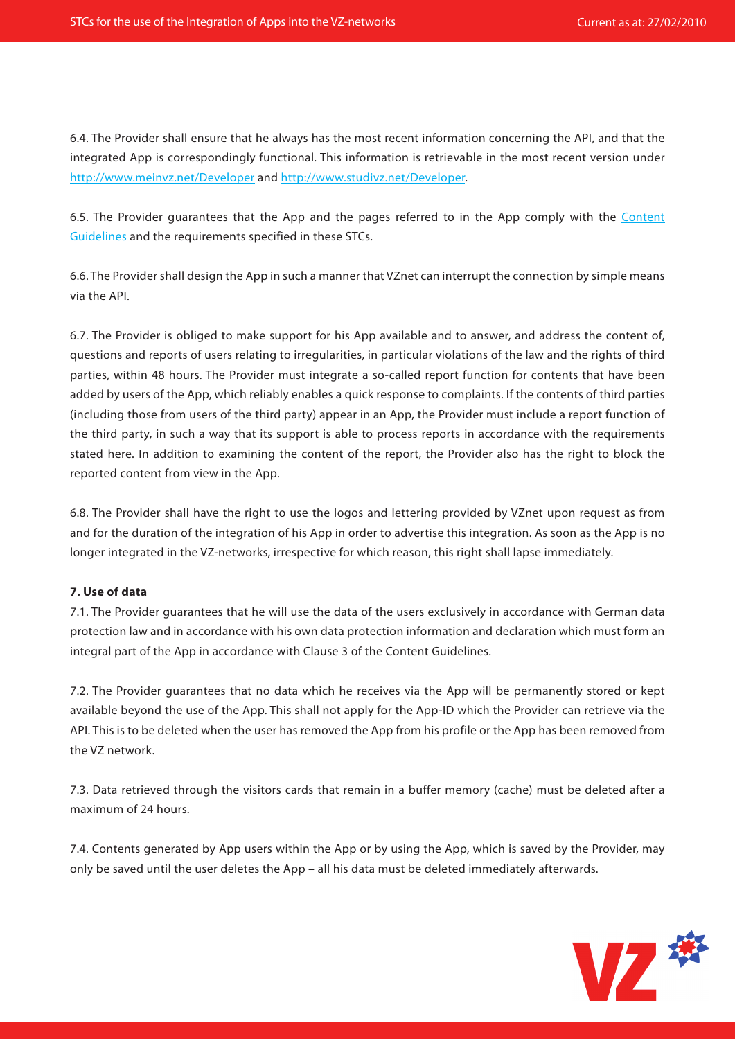6.4. The Provider shall ensure that he always has the most recent information concerning the API, and that the integrated App is correspondingly functional. This information is retrievable in the most recent version under <http://www.meinvz.net/Developer> and [http://www.studivz.net/Developer.](http://www.studivz.net/Developer)

6.5. The Provider guarantees that the App and the pages referred to in the App comply with the [Content](http://developer.studivz.net/wiki/images/c/c7/Contenguidelines_en.pdf)  [Guidelines](http://developer.studivz.net/wiki/images/c/c7/Contenguidelines_en.pdf) and the requirements specified in these STCs.

6.6. The Provider shall design the App in such a manner that VZnet can interrupt the connection by simple means via the API.

6.7. The Provider is obliged to make support for his App available and to answer, and address the content of, questions and reports of users relating to irregularities, in particular violations of the law and the rights of third parties, within 48 hours. The Provider must integrate a so-called report function for contents that have been added by users of the App, which reliably enables a quick response to complaints. If the contents of third parties (including those from users of the third party) appear in an App, the Provider must include a report function of the third party, in such a way that its support is able to process reports in accordance with the requirements stated here. In addition to examining the content of the report, the Provider also has the right to block the reported content from view in the App.

6.8. The Provider shall have the right to use the logos and lettering provided by VZnet upon request as from and for the duration of the integration of his App in order to advertise this integration. As soon as the App is no longer integrated in the VZ-networks, irrespective for which reason, this right shall lapse immediately.

## **7. Use of data**

7.1. The Provider guarantees that he will use the data of the users exclusively in accordance with German data protection law and in accordance with his own data protection information and declaration which must form an integral part of the App in accordance with Clause 3 of the Content Guidelines.

7.2. The Provider guarantees that no data which he receives via the App will be permanently stored or kept available beyond the use of the App. This shall not apply for the App-ID which the Provider can retrieve via the API. This is to be deleted when the user has removed the App from his profile or the App has been removed from the VZ network.

7.3. Data retrieved through the visitors cards that remain in a buffer memory (cache) must be deleted after a maximum of 24 hours.

7.4. Contents generated by App users within the App or by using the App, which is saved by the Provider, may only be saved until the user deletes the App – all his data must be deleted immediately afterwards.

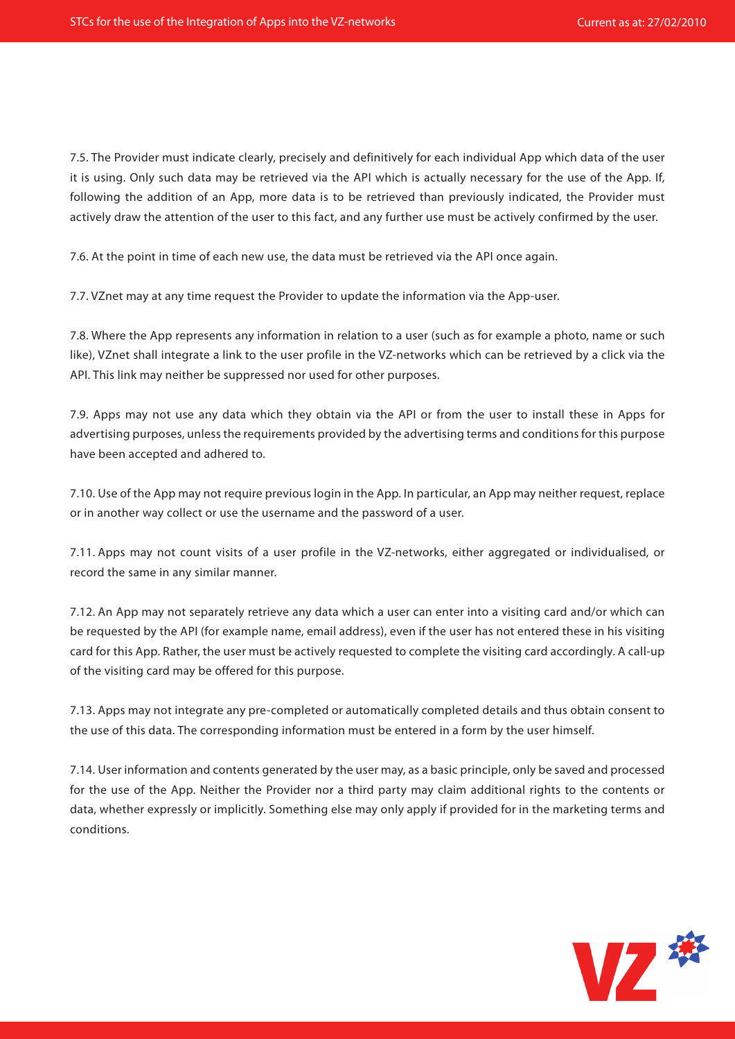7.5. The Provider must indicate clearly, precisely and definitively for each individual App which data of the user it is using. Only such data may be retrieved via the API which is actually necessary for the use of the App. If, following the addition of an App, more data is to be retrieved than previously indicated, the Provider must actively draw the attention of the user to this fact, and any further use must be actively confirmed by the user.

7.6. At the point in time of each new use, the data must be retrieved via the API once again.

7.7. VZnet may at any time request the Provider to update the information via the App-user.

7.8. Where the App represents any information in relation to a user (such as for example a photo, name or such like), VZnet shall integrate a link to the user profile in the VZ-networks which can be retrieved by a click via the API. This link may neither be suppressed nor used for other purposes.

7.9. Apps may not use any data which they obtain via the API or from the user to install these in Apps for advertising purposes, unless the requirements provided by the advertising terms and conditions for this purpose have been accepted and adhered to.

7.10. Use of the App may not require previous login in the App. In particular, an App may neither request, replace or in another way collect or use the username and the password of a user.

7.11. Apps may not count visits of a user profile in the VZ-networks, either aggregated or individualised, or record the same in any similar manner.

7.12. An App may not separately retrieve any data which a user can enter into a visiting card and/or which can be requested by the API (for example name, email address), even if the user has not entered these in his visiting card for this App. Rather, the user must be actively requested to complete the visiting card accordingly. A call-up of the visiting card may be offered for this purpose.

7.13. Apps may not integrate any pre-completed or automatically completed details and thus obtain consent to the use of this data. The corresponding information must be entered in a form by the user himself.

7.14. User information and contents generated by the user may, as a basic principle, only be saved and processed for the use of the App. Neither the Provider nor a third party may claim additional rights to the contents or data, whether expressly or implicitly. Something else may only apply if provided for in the marketing terms and conditions.

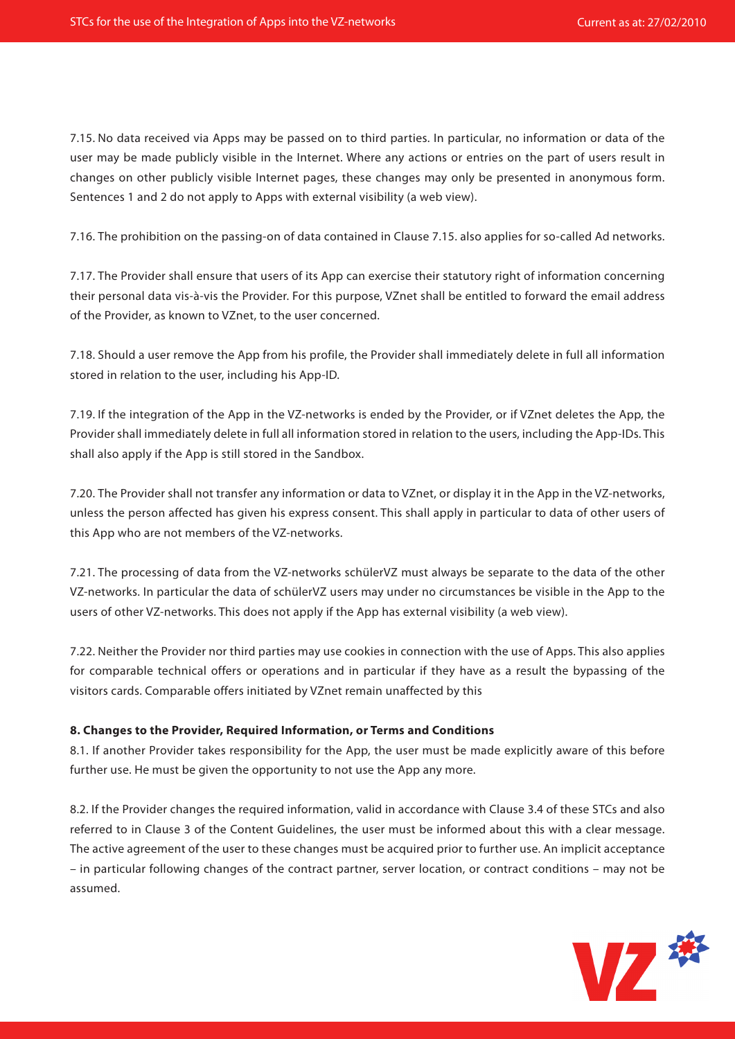7.15. No data received via Apps may be passed on to third parties. In particular, no information or data of the user may be made publicly visible in the Internet. Where any actions or entries on the part of users result in changes on other publicly visible Internet pages, these changes may only be presented in anonymous form. Sentences 1 and 2 do not apply to Apps with external visibility (a web view).

7.16. The prohibition on the passing-on of data contained in Clause 7.15. also applies for so-called Ad networks.

7.17. The Provider shall ensure that users of its App can exercise their statutory right of information concerning their personal data vis-à-vis the Provider. For this purpose, VZnet shall be entitled to forward the email address of the Provider, as known to VZnet, to the user concerned.

7.18. Should a user remove the App from his profile, the Provider shall immediately delete in full all information stored in relation to the user, including his App-ID.

7.19. If the integration of the App in the VZ-networks is ended by the Provider, or if VZnet deletes the App, the Provider shall immediately delete in full all information stored in relation to the users, including the App-IDs. This shall also apply if the App is still stored in the Sandbox.

7.20. The Provider shall not transfer any information or data to VZnet, or display it in the App in the VZ-networks, unless the person affected has given his express consent. This shall apply in particular to data of other users of this App who are not members of the VZ-networks.

7.21. The processing of data from the VZ-networks schülerVZ must always be separate to the data of the other VZ-networks. In particular the data of schülerVZ users may under no circumstances be visible in the App to the users of other VZ-networks. This does not apply if the App has external visibility (a web view).

7.22. Neither the Provider nor third parties may use cookies in connection with the use of Apps. This also applies for comparable technical offers or operations and in particular if they have as a result the bypassing of the visitors cards. Comparable offers initiated by VZnet remain unaffected by this

## **8. Changes to the Provider, Required Information, or Terms and Conditions**

8.1. If another Provider takes responsibility for the App, the user must be made explicitly aware of this before further use. He must be given the opportunity to not use the App any more.

8.2. If the Provider changes the required information, valid in accordance with Clause 3.4 of these STCs and also referred to in Clause 3 of the Content Guidelines, the user must be informed about this with a clear message. The active agreement of the user to these changes must be acquired prior to further use. An implicit acceptance – in particular following changes of the contract partner, server location, or contract conditions – may not be assumed.

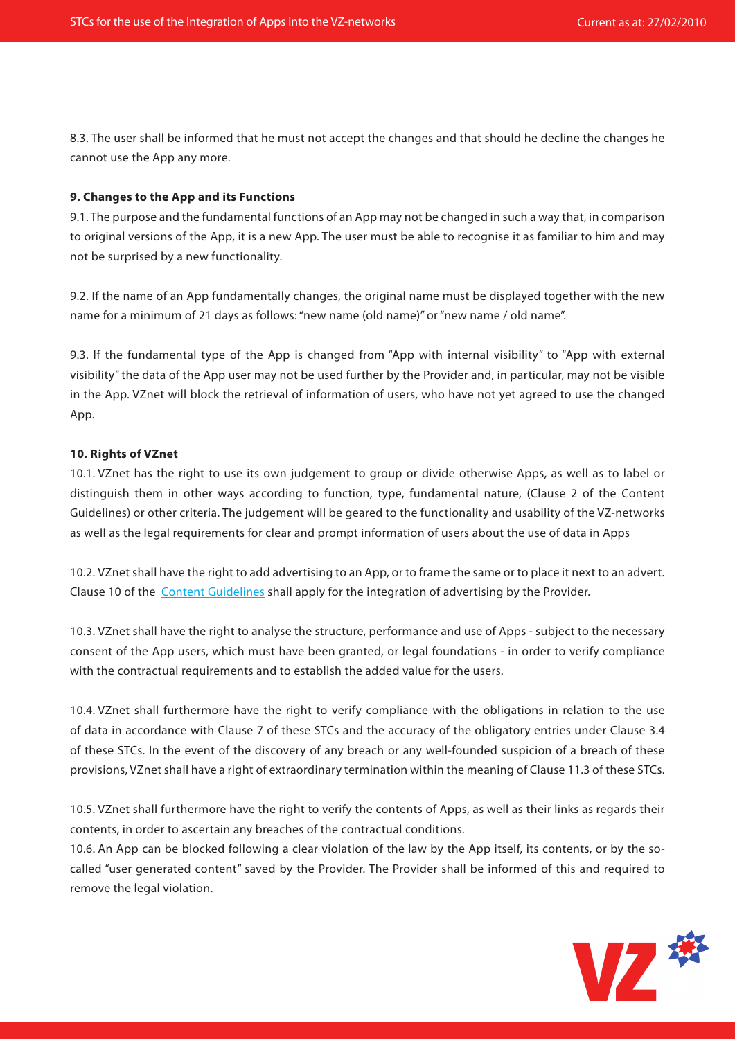8.3. The user shall be informed that he must not accept the changes and that should he decline the changes he cannot use the App any more.

#### **9. Changes to the App and its Functions**

9.1. The purpose and the fundamental functions of an App may not be changed in such a way that, in comparison to original versions of the App, it is a new App. The user must be able to recognise it as familiar to him and may not be surprised by a new functionality.

9.2. If the name of an App fundamentally changes, the original name must be displayed together with the new name for a minimum of 21 days as follows: "new name (old name)" or "new name / old name".

9.3. If the fundamental type of the App is changed from "App with internal visibility" to "App with external visibility" the data of the App user may not be used further by the Provider and, in particular, may not be visible in the App. VZnet will block the retrieval of information of users, who have not yet agreed to use the changed App.

#### **10. Rights of VZnet**

10.1. VZnet has the right to use its own judgement to group or divide otherwise Apps, as well as to label or distinguish them in other ways according to function, type, fundamental nature, (Clause 2 of the Content Guidelines) or other criteria. The judgement will be geared to the functionality and usability of the VZ-networks as well as the legal requirements for clear and prompt information of users about the use of data in Apps

10.2. VZnet shall have the right to add advertising to an App, or to frame the same or to place it next to an advert. Clause 10 of the [Content Guidelines](http://developer.studivz.net/wiki/images/c/c7/Contenguidelines_en.pdf) shall apply for the integration of advertising by the Provider.

10.3. VZnet shall have the right to analyse the structure, performance and use of Apps - subject to the necessary consent of the App users, which must have been granted, or legal foundations - in order to verify compliance with the contractual requirements and to establish the added value for the users.

10.4. VZnet shall furthermore have the right to verify compliance with the obligations in relation to the use of data in accordance with Clause 7 of these STCs and the accuracy of the obligatory entries under Clause 3.4 of these STCs. In the event of the discovery of any breach or any well-founded suspicion of a breach of these provisions, VZnet shall have a right of extraordinary termination within the meaning of Clause 11.3 of these STCs.

10.5. VZnet shall furthermore have the right to verify the contents of Apps, as well as their links as regards their contents, in order to ascertain any breaches of the contractual conditions.

10.6. An App can be blocked following a clear violation of the law by the App itself, its contents, or by the socalled "user generated content" saved by the Provider. The Provider shall be informed of this and required to remove the legal violation.

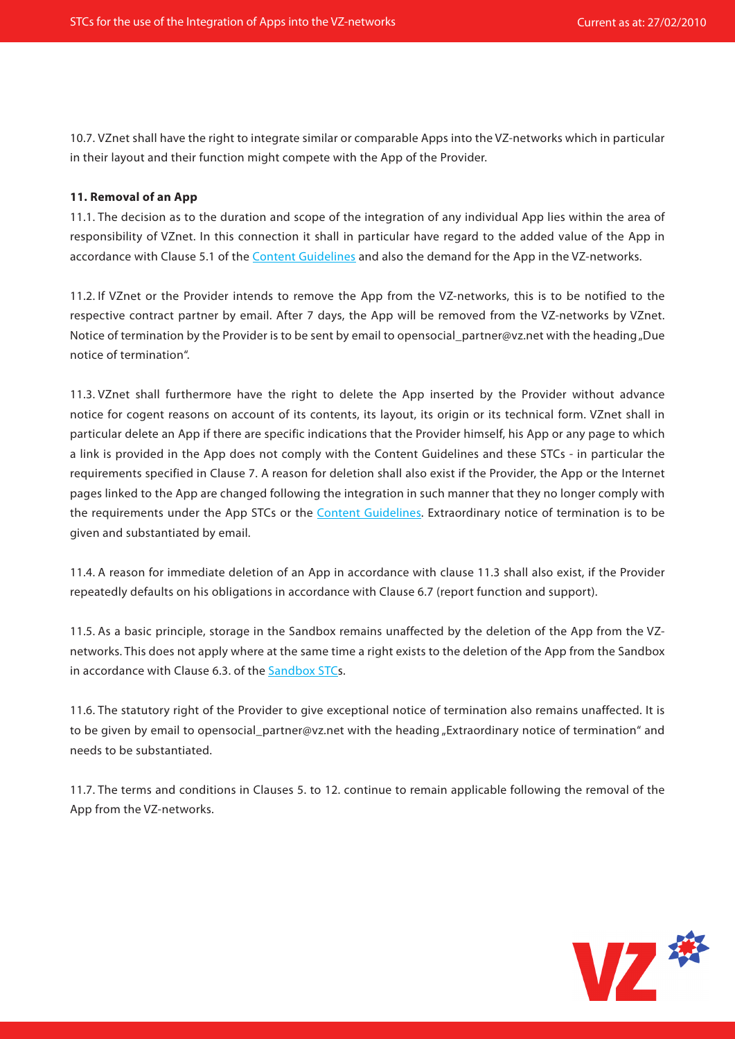10.7. VZnet shall have the right to integrate similar or comparable Apps into the VZ-networks which in particular in their layout and their function might compete with the App of the Provider.

## **11. Removal of an App**

11.1. The decision as to the duration and scope of the integration of any individual App lies within the area of responsibility of VZnet. In this connection it shall in particular have regard to the added value of the App in accordance with Clause 5.1 of the [Content Guidelines](http://developer.studivz.net/wiki/images/c/c7/Contenguidelines_en.pdf) and also the demand for the App in the VZ-networks.

11.2. If VZnet or the Provider intends to remove the App from the VZ-networks, this is to be notified to the respective contract partner by email. After 7 days, the App will be removed from the VZ-networks by VZnet. Notice of termination by the Provider is to be sent by email to opensocial partner@vz.net with the heading "Due notice of termination".

11.3. VZnet shall furthermore have the right to delete the App inserted by the Provider without advance notice for cogent reasons on account of its contents, its layout, its origin or its technical form. VZnet shall in particular delete an App if there are specific indications that the Provider himself, his App or any page to which a link is provided in the App does not comply with the Content Guidelines and these STCs - in particular the requirements specified in Clause 7. A reason for deletion shall also exist if the Provider, the App or the Internet pages linked to the App are changed following the integration in such manner that they no longer comply with the requirements under the App STCs or the [Content Guidelines](http://developer.studivz.net/wiki/images/c/c7/Contenguidelines_en.pdf). Extraordinary notice of termination is to be given and substantiated by email.

11.4. A reason for immediate deletion of an App in accordance with clause 11.3 shall also exist, if the Provider repeatedly defaults on his obligations in accordance with Clause 6.7 (report function and support).

11.5. As a basic principle, storage in the Sandbox remains unaffected by the deletion of the App from the VZnetworks. This does not apply where at the same time a right exists to the deletion of the App from the Sandbox in accordance with Clause 6.3. of the [Sandbox STCs](http://developer.studivz.net/wiki/images/3/3a/Sandbox_TC_en.pdf).

11.6. The statutory right of the Provider to give exceptional notice of termination also remains unaffected. It is to be given by email to opensocial\_partner@vz.net with the heading "Extraordinary notice of termination" and needs to be substantiated.

11.7. The terms and conditions in Clauses 5. to 12. continue to remain applicable following the removal of the App from the VZ-networks.

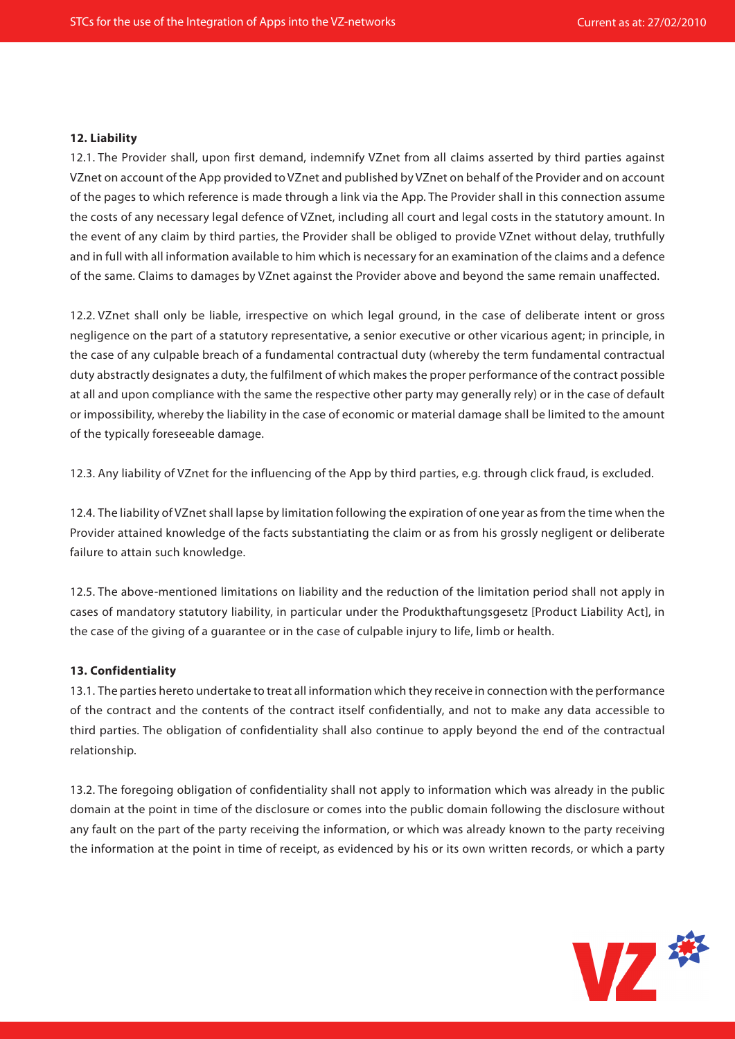#### **12. Liability**

12.1. The Provider shall, upon first demand, indemnify VZnet from all claims asserted by third parties against VZnet on account of the App provided to VZnet and published by VZnet on behalf of the Provider and on account of the pages to which reference is made through a link via the App. The Provider shall in this connection assume the costs of any necessary legal defence of VZnet, including all court and legal costs in the statutory amount. In the event of any claim by third parties, the Provider shall be obliged to provide VZnet without delay, truthfully and in full with all information available to him which is necessary for an examination of the claims and a defence of the same. Claims to damages by VZnet against the Provider above and beyond the same remain unaffected.

12.2. VZnet shall only be liable, irrespective on which legal ground, in the case of deliberate intent or gross negligence on the part of a statutory representative, a senior executive or other vicarious agent; in principle, in the case of any culpable breach of a fundamental contractual duty (whereby the term fundamental contractual duty abstractly designates a duty, the fulfilment of which makes the proper performance of the contract possible at all and upon compliance with the same the respective other party may generally rely) or in the case of default or impossibility, whereby the liability in the case of economic or material damage shall be limited to the amount of the typically foreseeable damage.

12.3. Any liability of VZnet for the influencing of the App by third parties, e.g. through click fraud, is excluded.

12.4. The liability of VZnet shall lapse by limitation following the expiration of one year as from the time when the Provider attained knowledge of the facts substantiating the claim or as from his grossly negligent or deliberate failure to attain such knowledge.

12.5. The above-mentioned limitations on liability and the reduction of the limitation period shall not apply in cases of mandatory statutory liability, in particular under the Produkthaftungsgesetz [Product Liability Act], in the case of the giving of a guarantee or in the case of culpable injury to life, limb or health.

## **13. Confidentiality**

13.1. The parties hereto undertake to treat all information which they receive in connection with the performance of the contract and the contents of the contract itself confidentially, and not to make any data accessible to third parties. The obligation of confidentiality shall also continue to apply beyond the end of the contractual relationship.

13.2. The foregoing obligation of confidentiality shall not apply to information which was already in the public domain at the point in time of the disclosure or comes into the public domain following the disclosure without any fault on the part of the party receiving the information, or which was already known to the party receiving the information at the point in time of receipt, as evidenced by his or its own written records, or which a party

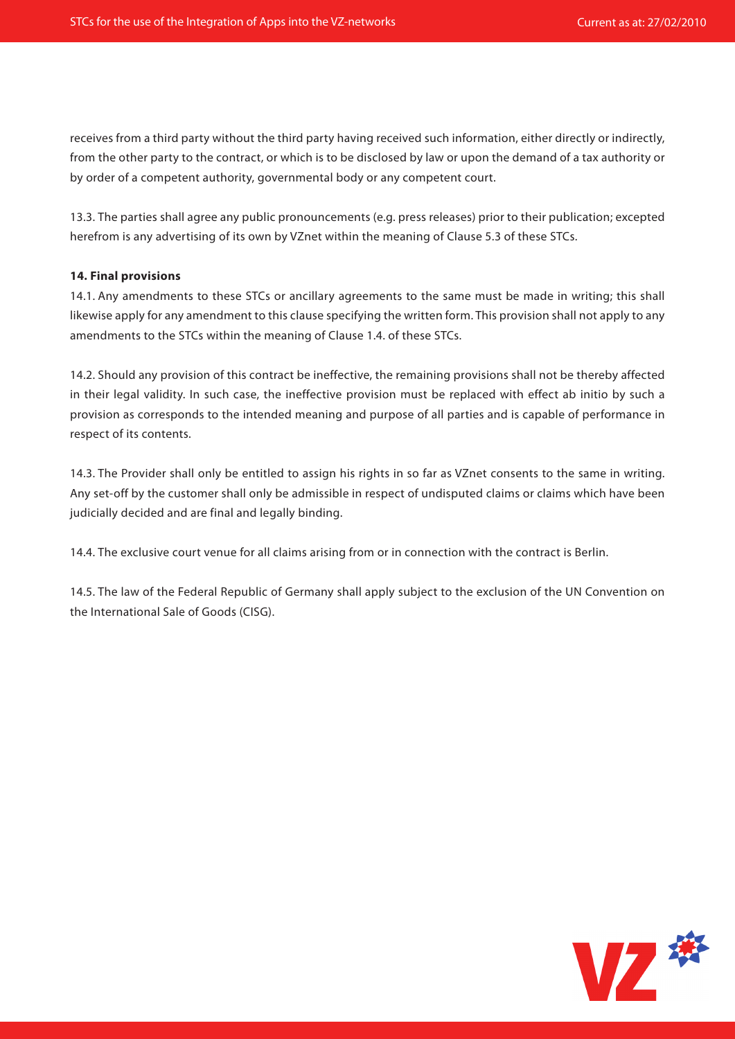receives from a third party without the third party having received such information, either directly or indirectly, from the other party to the contract, or which is to be disclosed by law or upon the demand of a tax authority or by order of a competent authority, governmental body or any competent court.

13.3. The parties shall agree any public pronouncements (e.g. press releases) prior to their publication; excepted herefrom is any advertising of its own by VZnet within the meaning of Clause 5.3 of these STCs.

## **14. Final provisions**

14.1. Any amendments to these STCs or ancillary agreements to the same must be made in writing; this shall likewise apply for any amendment to this clause specifying the written form. This provision shall not apply to any amendments to the STCs within the meaning of Clause 1.4. of these STCs.

14.2. Should any provision of this contract be ineffective, the remaining provisions shall not be thereby affected in their legal validity. In such case, the ineffective provision must be replaced with effect ab initio by such a provision as corresponds to the intended meaning and purpose of all parties and is capable of performance in respect of its contents.

14.3. The Provider shall only be entitled to assign his rights in so far as VZnet consents to the same in writing. Any set-off by the customer shall only be admissible in respect of undisputed claims or claims which have been judicially decided and are final and legally binding.

14.4. The exclusive court venue for all claims arising from or in connection with the contract is Berlin.

14.5. The law of the Federal Republic of Germany shall apply subject to the exclusion of the UN Convention on the International Sale of Goods (CISG).